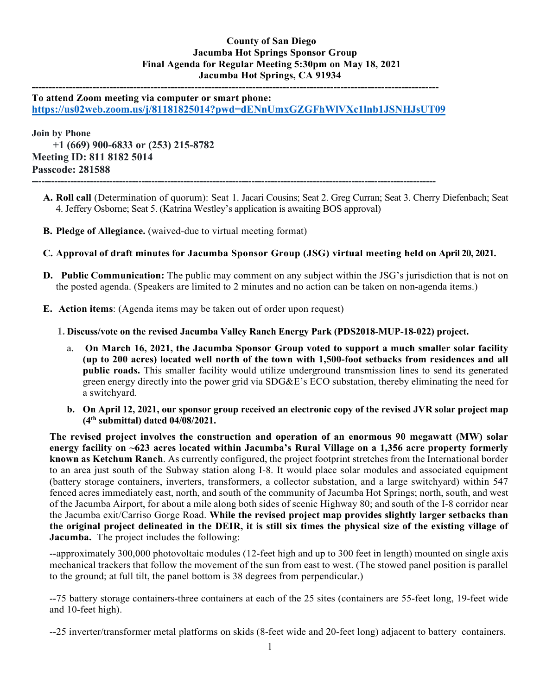## **County of San Diego Jacumba Hot Springs Sponsor Group Final Agenda for Regular Meeting 5:30pm on May 18, 2021 Jacumba Hot Springs, CA 91934**

**------------------------------------------------------------------------------------------------------------------------ To attend Zoom meeting via computer or smart phone: <https://us02web.zoom.us/j/81181825014?pwd=dENnUmxGZGFhWlVXc1lnb1JSNHJsUT09>**

**-----------------------------------------------------------------------------------------------------------------------------**

**Join by Phone +1 (669) 900-6833 or (253) 215-8782 Meeting ID: 811 8182 5014 Passcode: 281588**

- **A. Roll call** (Determination of quorum): Seat 1. Jacari Cousins; Seat 2. Greg Curran; Seat 3. Cherry Diefenbach; Seat 4. Jeffery Osborne; Seat 5. (Katrina Westley's application is awaiting BOS approval)
- **B. Pledge of Allegiance.** (waived-due to virtual meeting format)
- **C. Approval of draft minutes for Jacumba Sponsor Group (JSG) virtual meeting held on April 20, 2021.**
- **D. Public Communication:** The public may comment on any subject within the JSG's jurisdiction that is not on the posted agenda. (Speakers are limited to 2 minutes and no action can be taken on non-agenda items.)
- **E. Action items**: (Agenda items may be taken out of order upon request)
	- **1. Discuss/vote on the revised Jacumba Valley Ranch Energy Park (PDS2018-MUP-18-022) project.**
		- a. **On March 16, 2021, the Jacumba Sponsor Group voted to support a much smaller solar facility (up to 200 acres) located well north of the town with 1,500-foot setbacks from residences and all public roads.** This smaller facility would utilize underground transmission lines to send its generated green energy directly into the power grid via SDG&E's ECO substation, thereby eliminating the need for a switchyard.
		- **b. On April 12, 2021, our sponsor group received an electronic copy of the revised JVR solar project map (4th submittal) dated 04/08/2021.**

**The revised project involves the construction and operation of an enormous 90 megawatt (MW) solar energy facility on ~623 acres located within Jacumba's Rural Village on a 1,356 acre property formerly known as Ketchum Ranch**. As currently configured, the project footprint stretches from the International border to an area just south of the Subway station along I-8. It would place solar modules and associated equipment (battery storage containers, inverters, transformers, a collector substation, and a large switchyard) within 547 fenced acres immediately east, north, and south of the community of Jacumba Hot Springs; north, south, and west of the Jacumba Airport, for about a mile along both sides of scenic Highway 80; and south of the I-8 corridor near the Jacumba exit/Carriso Gorge Road. **While the revised project map provides slightly larger setbacks than the original project delineated in the DEIR, it is still six times the physical size of the existing village of Jacumba.** The project includes the following:

--approximately 300,000 photovoltaic modules (12-feet high and up to 300 feet in length) mounted on single axis mechanical trackers that follow the movement of the sun from east to west. (The stowed panel position is parallel to the ground; at full tilt, the panel bottom is 38 degrees from perpendicular.)

--75 battery storage containers-three containers at each of the 25 sites (containers are 55-feet long, 19-feet wide and 10-feet high).

--25 inverter/transformer metal platforms on skids (8-feet wide and 20-feet long) adjacent to battery containers.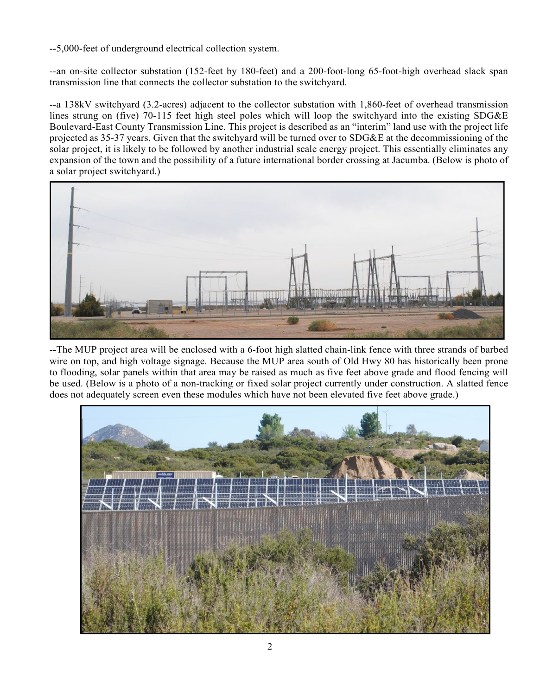--5,000-feet of underground electrical collection system.

--an on-site collector substation (152-feet by 180-feet) and a 200-foot-long 65-foot-high overhead slack span transmission line that connects the collector substation to the switchyard.

--a 138kV switchyard (3.2-acres) adjacent to the collector substation with 1,860-feet of overhead transmission lines strung on (five) 70-115 feet high steel poles which will loop the switchyard into the existing SDG&E Boulevard-East County Transmission Line. This project is described as an "interim" land use with the project life projected as 35-37 years. Given that the switchyard will be turned over to SDG&E at the decommissioning of the solar project, it is likely to be followed by another industrial scale energy project. This essentially eliminates any expansion of the town and the possibility of a future international border crossing at Jacumba. (Below is photo of a solar project switchyard.)



--The MUP project area will be enclosed with a 6-foot high slatted chain-link fence with three strands of barbed wire on top, and high voltage signage. Because the MUP area south of Old Hwy 80 has historically been prone to flooding, solar panels within that area may be raised as much as five feet above grade and flood fencing will be used. (Below is a photo of a non-tracking or fixed solar project currently under construction. A slatted fence does not adequately screen even these modules which have not been elevated five feet above grade.)